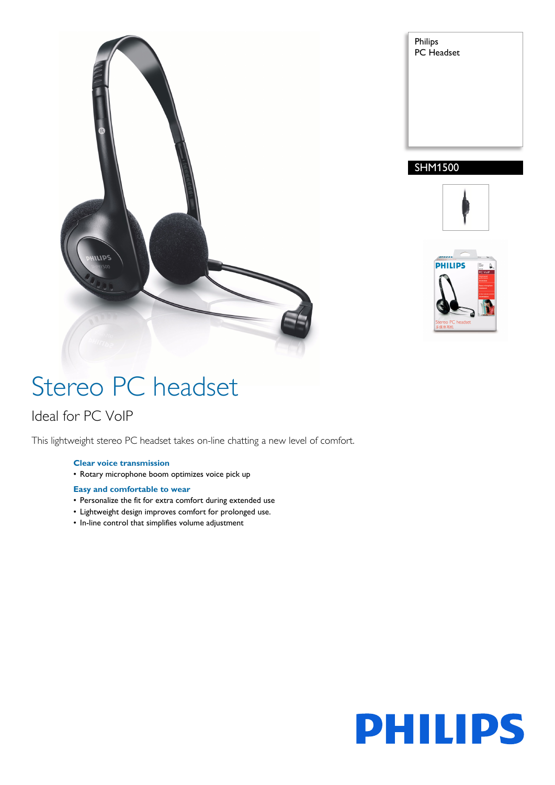



### SHM1500





# Stereo PC headset

### Ideal for PC VoIP

This lightweight stereo PC headset takes on-line chatting a new level of comfort.

#### **Clear voice transmission**

• Rotary microphone boom optimizes voice pick up

#### **Easy and comfortable to wear**

- Personalize the fit for extra comfort during extended use
- Lightweight design improves comfort for prolonged use.
- In-line control that simplifies volume adjustment